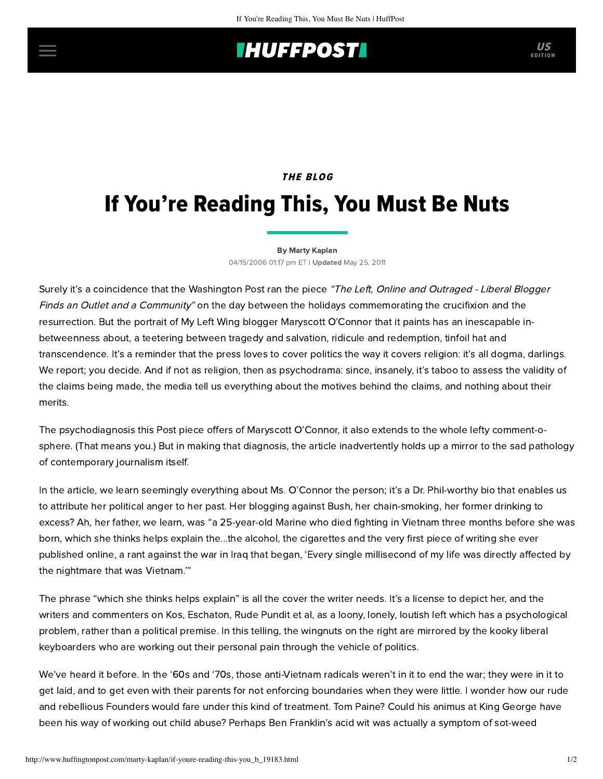## **IHUFFPOSTI** US

### THE BLOG

# If You're Reading This, You Must Be Nuts

#### [By Marty Kaplan](http://www.huffingtonpost.com/author/marty-kaplan)

04/15/2006 01:17 pm ET | Updated May 25, 2011

Surely it's a coincidence that the Washington Post ran the [piece](http://www.washingtonpost.com/wp-dyn/content/article/2006/04/14/AR2006041401648.html?referrer=email) "The Left, Online and Outraged - Liberal Blogger Finds an Outlet and a Community" on the day between the holidays commemorating the crucifixion and the resurrection. But the portrait of [My Left Wing](http://www.myleftwing.com/frontPage.do) blogger Maryscott O'Connor that it paints has an inescapable inbetweenness about, a teetering between tragedy and salvation, ridicule and redemption, tinfoil hat and transcendence. It's a reminder that the press loves to cover politics the way it covers religion: it's all dogma, darlings. We report; you decide. And if not as religion, then as psychodrama: since, insanely, it's taboo to assess the validity of the claims being made, the media tell us everything about the motives behind the claims, and nothing about their merits.

The psychodiagnosis this Post piece offers of Maryscott O'Connor, it also extends to the whole lefty comment-osphere. (That means you.) But in making that diagnosis, the article inadvertently holds up a mirror to the sad pathology of contemporary journalism itself.

In the article, we learn seemingly everything about Ms. O'Connor the person; it's a Dr. Phil-worthy bio that enables us to attribute her political anger to her past. Her blogging against Bush, her chain-smoking, her former drinking to excess? Ah, her father, we learn, was "a 25-year-old Marine who died fighting in Vietnam three months before she was born, which she thinks helps explain the...the alcohol, the cigarettes and the very first piece of writing she ever published online, a rant against the war in Iraq that began, 'Every single millisecond of my life was directly affected by the nightmare that was Vietnam.'"

The phrase "which she thinks helps explain" is all the cover the writer needs. It's a license to depict her, and the writers and commenters on Kos, Eschaton, Rude Pundit et al, as a loony, lonely, loutish left which has a psychological problem, rather than a political premise. In this telling, the wingnuts on the right are mirrored by the kooky liberal keyboarders who are working out their personal pain through the vehicle of politics.

We've heard it before. In the '60s and '70s, those anti-Vietnam radicals weren't in it to end the war; they were in it to get laid, and to get even with their parents for not enforcing boundaries when they were little. I wonder how our rude and rebellious Founders would fare under this kind of treatment. Tom Paine? Could his animus at King George have been his way of working out child abuse? Perhaps Ben Franklin's acid wit was actually a symptom of sot-weed